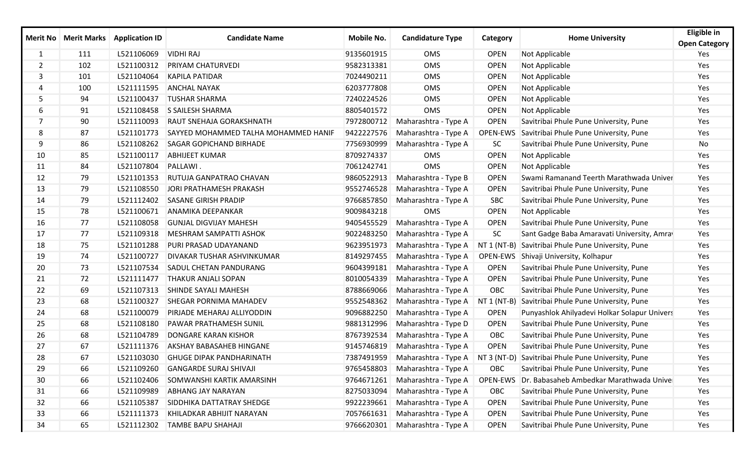|                |     | Merit No Merit Marks Application ID | <b>Candidate Name</b>                | <b>Mobile No.</b> | <b>Candidature Type</b>         | Category      | <b>Home University</b>                                                               | Eligible in<br><b>Open Category</b> |
|----------------|-----|-------------------------------------|--------------------------------------|-------------------|---------------------------------|---------------|--------------------------------------------------------------------------------------|-------------------------------------|
| 1              | 111 | L521106069                          | <b>VIDHI RAJ</b>                     | 9135601915        | OMS                             | <b>OPEN</b>   | Not Applicable                                                                       | Yes                                 |
| $\overline{2}$ | 102 | L521100312                          | PRIYAM CHATURVEDI                    | 9582313381        | OMS                             | <b>OPEN</b>   | Not Applicable                                                                       | Yes                                 |
| 3              | 101 | L521104064                          | <b>KAPILA PATIDAR</b>                | 7024490211        | OMS                             | <b>OPEN</b>   | Not Applicable                                                                       | Yes                                 |
| 4              | 100 | L521111595                          | <b>ANCHAL NAYAK</b>                  | 6203777808        | OMS                             | <b>OPEN</b>   | Not Applicable                                                                       | Yes                                 |
| 5              | 94  | L521100437                          | <b>TUSHAR SHARMA</b>                 | 7240224526        | OMS                             | <b>OPEN</b>   | Not Applicable                                                                       | Yes                                 |
| 6              | 91  | L521108458                          | <b>S SAILESH SHARMA</b>              | 8805401572        | OMS                             | <b>OPEN</b>   | Not Applicable                                                                       | Yes                                 |
| 7              | 90  | L521110093                          | RAUT SNEHAJA GORAKSHNATH             | 7972800712        | Maharashtra - Type A            | <b>OPEN</b>   | Savitribai Phule Pune University, Pune                                               | Yes                                 |
| 8              | 87  | L521101773                          | SAYYED MOHAMMED TALHA MOHAMMED HANIF | 9422227576        | Maharashtra - Type A            | OPEN-EWS      | Savitribai Phule Pune University, Pune                                               | Yes                                 |
| 9              | 86  | L521108262                          | SAGAR GOPICHAND BIRHADE              | 7756930999        | Maharashtra - Type A            | SC            | Savitribai Phule Pune University, Pune                                               | No                                  |
| 10             | 85  | L521100117                          | <b>ABHIJEET KUMAR</b>                | 8709274337        | <b>OMS</b>                      | <b>OPEN</b>   | Not Applicable                                                                       | Yes                                 |
| 11             | 84  | L521107804                          | PALLAWI.                             | 7061242741        | OMS                             | <b>OPEN</b>   | Not Applicable                                                                       | Yes                                 |
| 12             | 79  | L521101353                          | RUTUJA GANPATRAO CHAVAN              | 9860522913        | Maharashtra - Type B            | <b>OPEN</b>   | Swami Ramanand Teerth Marathwada Univer                                              | Yes                                 |
| 13             | 79  | L521108550                          | JORI PRATHAMESH PRAKASH              | 9552746528        | Maharashtra - Type A            | <b>OPEN</b>   | Savitribai Phule Pune University, Pune                                               | Yes                                 |
| 14             | 79  | L521112402                          | <b>SASANE GIRISH PRADIP</b>          | 9766857850        | Maharashtra - Type A            | <b>SBC</b>    | Savitribai Phule Pune University, Pune                                               | Yes                                 |
| 15             | 78  | L521100671                          | <b>ANAMIKA DEEPANKAR</b>             | 9009843218        | OMS                             | <b>OPEN</b>   | Not Applicable                                                                       | Yes                                 |
| 16             | 77  | L521108058                          | <b>GUNJAL DIGVIJAY MAHESH</b>        | 9405455529        | Maharashtra - Type A            | <b>OPEN</b>   | Savitribai Phule Pune University, Pune                                               | Yes                                 |
| 17             | 77  | L521109318                          | <b>MESHRAM SAMPATTI ASHOK</b>        | 9022483250        | Maharashtra - Type A            | <b>SC</b>     | Sant Gadge Baba Amaravati University, Amray                                          | Yes                                 |
| 18             | 75  | L521101288                          | PURI PRASAD UDAYANAND                | 9623951973        | Maharashtra - Type A            | $NT 1 (NT-B)$ | Savitribai Phule Pune University, Pune                                               | Yes                                 |
| 19             | 74  | L521100727                          | <b>DIVAKAR TUSHAR ASHVINKUMAR</b>    | 8149297455        | Maharashtra - Type A            |               | OPEN-EWS Shivaji University, Kolhapur                                                | Yes                                 |
| 20             | 73  | L521107534                          | SADUL CHETAN PANDURANG               | 9604399181        | Maharashtra - Type A            | <b>OPEN</b>   | Savitribai Phule Pune University, Pune                                               | Yes                                 |
| 21             | 72  | L521111477                          | THAKUR ANJALI SOPAN                  | 8010054339        | Maharashtra - Type A            | <b>OPEN</b>   | Savitribai Phule Pune University, Pune                                               | Yes                                 |
| 22             | 69  | L521107313                          | SHINDE SAYALI MAHESH                 | 8788669066        | Maharashtra - Type A            | OBC           | Savitribai Phule Pune University, Pune                                               | Yes                                 |
| 23             | 68  | L521100327                          | SHEGAR PORNIMA MAHADEV               | 9552548362        | Maharashtra - Type A            | $NT 1 (NT-B)$ | Savitribai Phule Pune University, Pune                                               | Yes                                 |
| 24             | 68  | L521100079                          | PIRJADE MEHARAJ ALLIYODDIN           | 9096882250        | Maharashtra - Type A            | <b>OPEN</b>   | Punyashlok Ahilyadevi Holkar Solapur Univers                                         | Yes                                 |
| 25             | 68  | L521108180                          | PAWAR PRATHAMESH SUNIL               | 9881312996        | Maharashtra - Type D            | <b>OPEN</b>   | Savitribai Phule Pune University, Pune                                               | Yes                                 |
| 26             | 68  | L521104789                          | <b>DONGARE KARAN KISHOR</b>          | 8767392534        | Maharashtra - Type A            | OBC           | Savitribai Phule Pune University, Pune                                               | Yes                                 |
| 27             | 67  | L521111376                          | AKSHAY BABASAHEB HINGANE             | 9145746819        | Maharashtra - Type A            | <b>OPEN</b>   | Savitribai Phule Pune University, Pune                                               | Yes                                 |
| 28             | 67  |                                     | L521103030 GHUGE DIPAK PANDHARINATH  |                   |                                 |               | 7387491959 Maharashtra - Type A   NT 3 (NT-D) Savitribai Phule Pune University, Pune | Yes                                 |
| 29             | 66  | L521109260                          | <b>GANGARDE SURAJ SHIVAJI</b>        |                   | 9765458803 Maharashtra - Type A | OBC           | Savitribai Phule Pune University, Pune                                               | Yes                                 |
| 30             | 66  | L521102406                          | SOMWANSHI KARTIK AMARSINH            | 9764671261        | Maharashtra - Type A            |               | OPEN-EWS Dr. Babasaheb Ambedkar Marathwada Unive                                     | Yes                                 |
| 31             | 66  | L521109989                          | ABHANG JAY NARAYAN                   | 8275033094        | Maharashtra - Type A            | OBC           | Savitribai Phule Pune University, Pune                                               | Yes                                 |
| 32             | 66  | L521105387                          | SIDDHIKA DATTATRAY SHEDGE            | 9922239661        | Maharashtra - Type A            | <b>OPEN</b>   | Savitribai Phule Pune University, Pune                                               | Yes                                 |
| 33             | 66  | L521111373                          | KHILADKAR ABHIJIT NARAYAN            | 7057661631        | Maharashtra - Type A            | <b>OPEN</b>   | Savitribai Phule Pune University, Pune                                               | Yes                                 |
| 34             | 65  | L521112302                          | <b>TAMBE BAPU SHAHAJI</b>            | 9766620301        | Maharashtra - Type A            | <b>OPEN</b>   | Savitribai Phule Pune University, Pune                                               | Yes                                 |